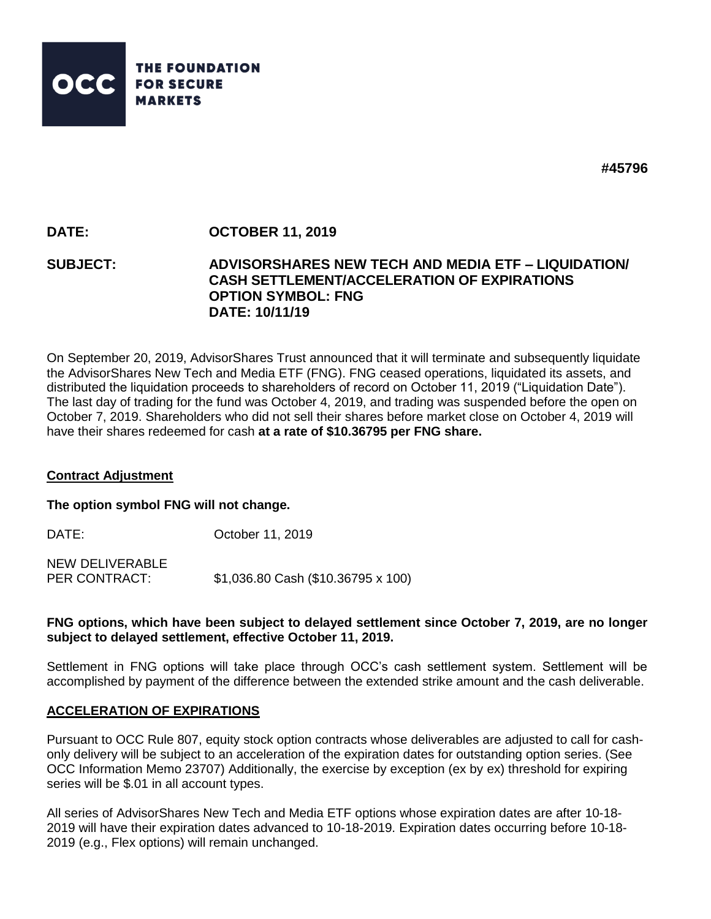

**#45796**

# **DATE: OCTOBER 11, 2019**

## **SUBJECT: ADVISORSHARES NEW TECH AND MEDIA ETF – LIQUIDATION/ CASH SETTLEMENT/ACCELERATION OF EXPIRATIONS OPTION SYMBOL: FNG DATE: 10/11/19**

On September 20, 2019, AdvisorShares Trust announced that it will terminate and subsequently liquidate the AdvisorShares New Tech and Media ETF (FNG). FNG ceased operations, liquidated its assets, and distributed the liquidation proceeds to shareholders of record on October 11, 2019 ("Liquidation Date"). The last day of trading for the fund was October 4, 2019, and trading was suspended before the open on October 7, 2019. Shareholders who did not sell their shares before market close on October 4, 2019 will have their shares redeemed for cash **at a rate of \$10.36795 per FNG share.**

## **Contract Adjustment**

#### **The option symbol FNG will not change.**

DATE: **October 11, 2019** NEW DELIVERABLE PER CONTRACT: \$1,036.80 Cash (\$10.36795 x 100)

## **FNG options, which have been subject to delayed settlement since October 7, 2019, are no longer subject to delayed settlement, effective October 11, 2019.**

Settlement in FNG options will take place through OCC's cash settlement system. Settlement will be accomplished by payment of the difference between the extended strike amount and the cash deliverable.

## **ACCELERATION OF EXPIRATIONS**

Pursuant to OCC Rule 807, equity stock option contracts whose deliverables are adjusted to call for cashonly delivery will be subject to an acceleration of the expiration dates for outstanding option series. (See OCC Information Memo 23707) Additionally, the exercise by exception (ex by ex) threshold for expiring series will be \$.01 in all account types.

All series of AdvisorShares New Tech and Media ETF options whose expiration dates are after 10-18- 2019 will have their expiration dates advanced to 10-18-2019. Expiration dates occurring before 10-18- 2019 (e.g., Flex options) will remain unchanged.